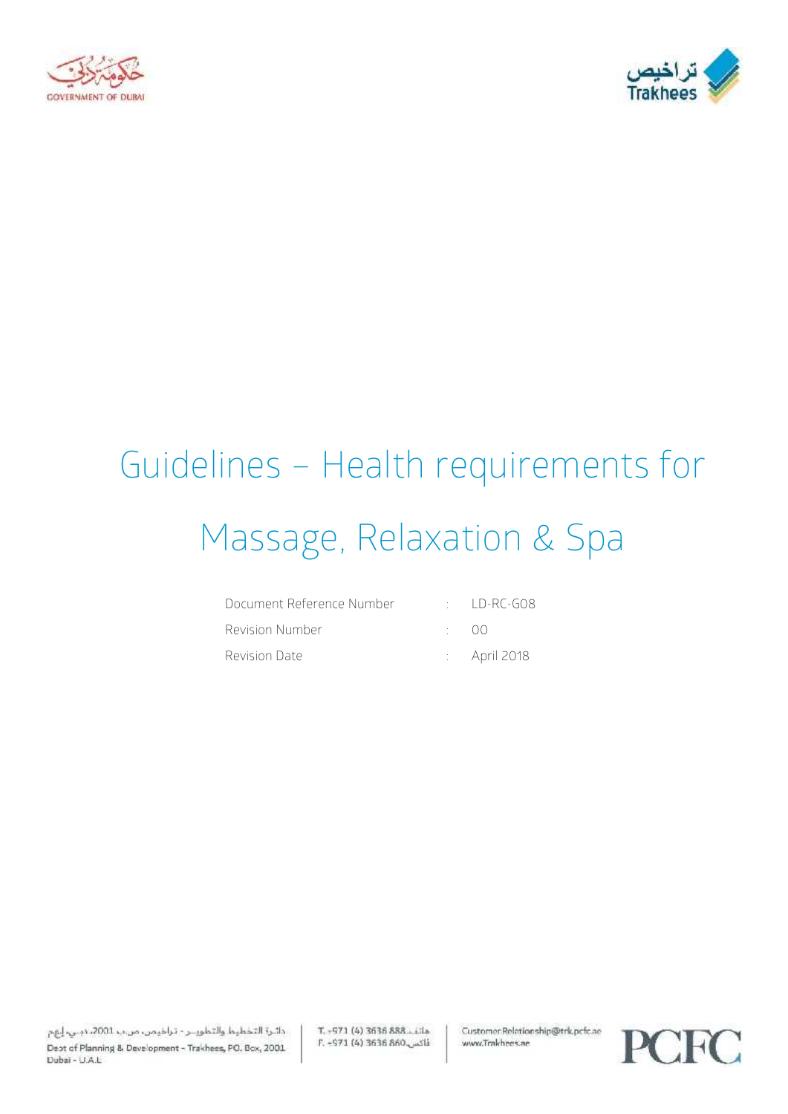



# Guidelines – Health requirements for Massage, Relaxation & Spa

| Document Reference Number | $\cdot$ ID-RC-GO8       |
|---------------------------|-------------------------|
| - Revision Number         | $\bigcap$               |
| Revision Date             | $\therefore$ April 2018 |

دائرة التخطيط والتطويــر - تراخيمن، من ب 2001، دبـي، إيهم Dept of Planning & Development - Trakhees, PO. Box, 2001 Dubai - U.A.L.

T. - 971 (4) 3636 888. Lila E. -971 (4) 3636 860 Customer.Relationship@trk.pcfc.ae www.Trakhees.ae

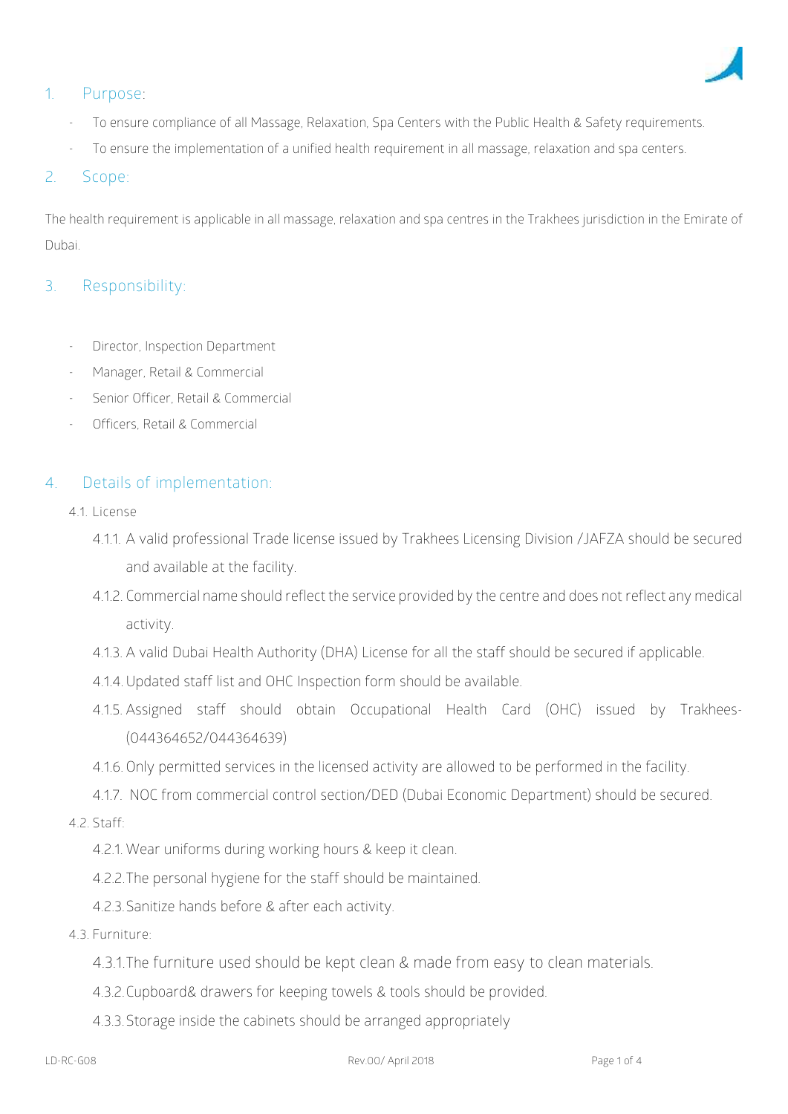

## **1. Purpose:**

- To ensure compliance of all Massage, Relaxation, Spa Centers with the Public Health & Safety requirements.
- To ensure the implementation of a unified health requirement in all massage, relaxation and spa centers.

## 2. **Scope**:

The health requirement is applicable in all massage, relaxation and spa centres in the Trakhees jurisdiction in the Emirate of Dubai.

## **3. Responsibility:**

- Director, Inspection Department
- Manager, Retail & Commercial
- Senior Officer, Retail & Commercial
- Officers, Retail & Commercial

## **4. Details of implementation**:

- **4.1. License**
	- 4.1.1. A valid professional Trade license issued by Trakhees Licensing Division /JAFZA should be secured and available at the facility.
	- 4.1.2. Commercial name should reflect the service provided by the centre and does not reflect any medical activity.
	- 4.1.3. A valid Dubai Health Authority (DHA) License for all the staff should be secured if applicable.
	- 4.1.4.Updated staff list and OHC Inspection form should be available.
	- 4.1.5. Assigned staff should obtain Occupational Health Card (OHC) issued by Trakhees- (044364652/044364639)
	- 4.1.6. Only permitted services in the licensed activity are allowed to be performed in the facility.
	- 4.1.7. NOC from commercial control section/DED (Dubai Economic Department) should be secured.
- **4.2. Staff:**
	- 4.2.1. Wear uniforms during working hours & keep it clean.
	- 4.2.2.The personal hygiene for the staff should be maintained.
	- 4.2.3.Sanitize hands before & after each activity.
- **4.3. Furniture:**
	- 4.3.1.The furniture used should be kept clean & made from easy to clean materials.
	- 4.3.2.Cupboard& drawers for keeping towels & tools should be provided.
	- 4.3.3.Storage inside the cabinets should be arranged appropriately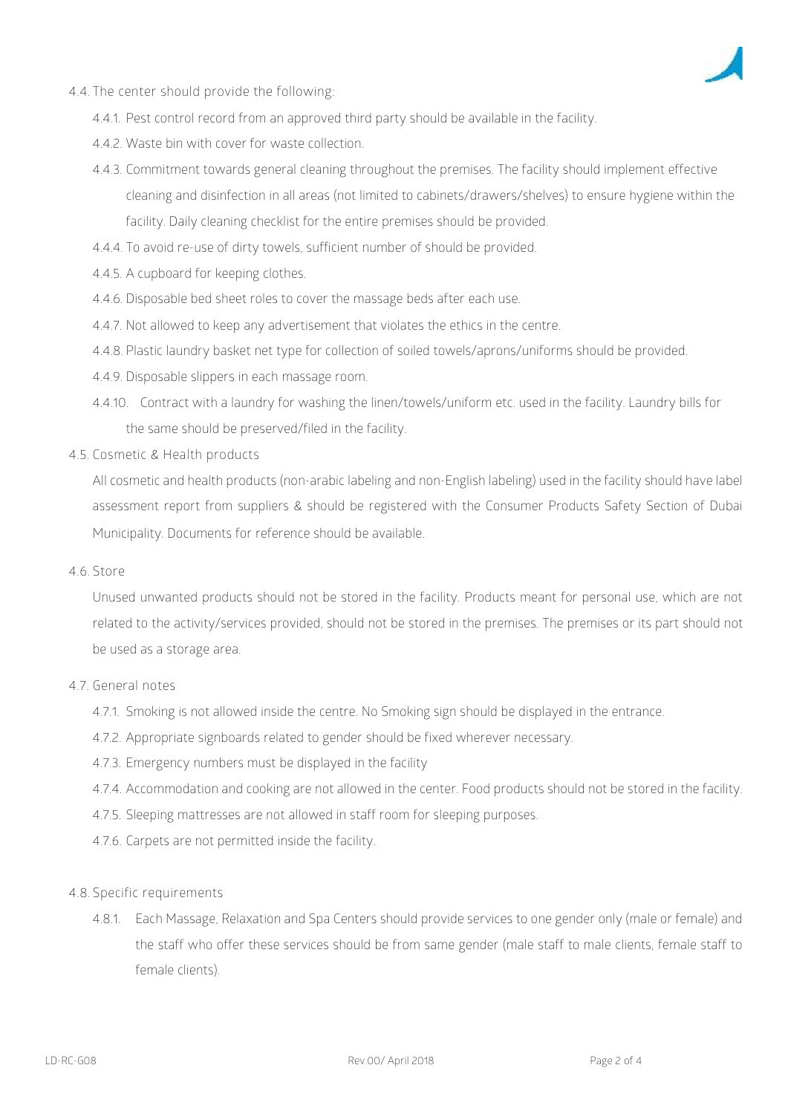

- **4.4. The center should provide the following:**
	- 4.4.1. Pest control record from an approved third party should be available in the facility.
	- 4.4.2. Waste bin with cover for waste collection.
	- 4.4.3. Commitment towards general cleaning throughout the premises. The facility should implement effective cleaning and disinfection in all areas (not limited to cabinets/drawers/shelves) to ensure hygiene within the facility. Daily cleaning checklist for the entire premises should be provided.
	- 4.4.4. To avoid re-use of dirty towels, sufficient number of should be provided.
	- 4.4.5. A cupboard for keeping clothes.
	- 4.4.6. Disposable bed sheet roles to cover the massage beds after each use.
	- 4.4.7. Not allowed to keep any advertisement that violates the ethics in the centre.
	- 4.4.8. Plastic laundry basket net type for collection of soiled towels/aprons/uniforms should be provided.
	- 4.4.9. Disposable slippers in each massage room.
	- 4.4.10. Contract with a laundry for washing the linen/towels/uniform etc. used in the facility. Laundry bills for the same should be preserved/filed in the facility.
- **4.5. Cosmetic & Health products**

All cosmetic and health products (non-arabic labeling and non-English labeling) used in the facility should have label assessment report from suppliers & should be registered with the Consumer Products Safety Section of Dubai Municipality. Documents for reference should be available.

**4.6. Store**

Unused unwanted products should not be stored in the facility. Products meant for personal use, which are not related to the activity/services provided, should not be stored in the premises. The premises or its part should not be used as a storage area.

#### **4.7. General notes**

- 4.7.1. Smoking is not allowed inside the centre. No Smoking sign should be displayed in the entrance.
- 4.7.2. Appropriate signboards related to gender should be fixed wherever necessary.
- 4.7.3. Emergency numbers must be displayed in the facility
- 4.7.4. Accommodation and cooking are not allowed in the center. Food products should not be stored in the facility.
- 4.7.5. Sleeping mattresses are not allowed in staff room for sleeping purposes.
- 4.7.6. Carpets are not permitted inside the facility.

#### **4.8. Specific requirements**

4.8.1. Each Massage, Relaxation and Spa Centers should provide services to one gender only (male or female) and the staff who offer these services should be from same gender (male staff to male clients, female staff to female clients).